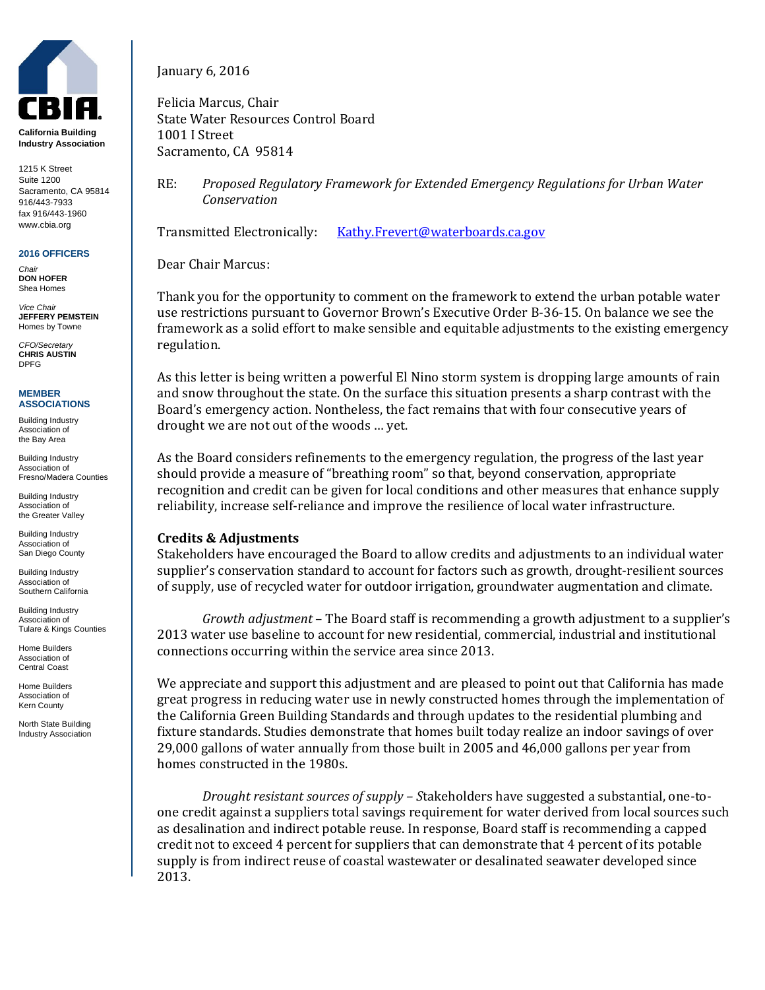

**California Building Industry Association**

1215 K Street Suite 1200 Sacramento, CA 95814 916/443-7933 fax 916/443-1960 www.cbia.org

**2016 OFFICERS** *Chair*

**DON HOFER** Shea Homes

*Vice Chair* **JEFFERY PEMSTEIN** Homes by Towne

*CFO/Secretary* **CHRIS AUSTIN** DPFG

## **MEMBER ASSOCIATIONS**

Building Industry Association of the Bay Area

Building Industry Association of Fresno/Madera Counties

Building Industry Association of the Greater Valley

Building Industry Association of San Diego County

Building Industry Association of Southern California

Building Industry Association of Tulare & Kings Counties

Home Builders Association of Central Coast

Home Builders Association of Kern County

North State Building Industry Association January 6, 2016

Felicia Marcus, Chair State Water Resources Control Board 1001 I Street Sacramento, CA 95814

RE: *Proposed Regulatory Framework for Extended Emergency Regulations for Urban Water Conservation*

Transmitted Electronically: [Kathy.Frevert@waterboards.ca.gov](mailto:Kathy.Frevert@waterboards.ca.gov)

Dear Chair Marcus:

Thank you for the opportunity to comment on the framework to extend the urban potable water use restrictions pursuant to Governor Brown's Executive Order B-36-15. On balance we see the framework as a solid effort to make sensible and equitable adjustments to the existing emergency regulation.

As this letter is being written a powerful El Nino storm system is dropping large amounts of rain and snow throughout the state. On the surface this situation presents a sharp contrast with the Board's emergency action. Nontheless, the fact remains that with four consecutive years of drought we are not out of the woods … yet.

As the Board considers refinements to the emergency regulation, the progress of the last year should provide a measure of "breathing room" so that, beyond conservation, appropriate recognition and credit can be given for local conditions and other measures that enhance supply reliability, increase self-reliance and improve the resilience of local water infrastructure.

## **Credits & Adjustments**

Stakeholders have encouraged the Board to allow credits and adjustments to an individual water supplier's conservation standard to account for factors such as growth, drought-resilient sources of supply, use of recycled water for outdoor irrigation, groundwater augmentation and climate.

*Growth adjustment* – The Board staff is recommending a growth adjustment to a supplier's 2013 water use baseline to account for new residential, commercial, industrial and institutional connections occurring within the service area since 2013.

We appreciate and support this adjustment and are pleased to point out that California has made great progress in reducing water use in newly constructed homes through the implementation of the California Green Building Standards and through updates to the residential plumbing and fixture standards. Studies demonstrate that homes built today realize an indoor savings of over 29,000 gallons of water annually from those built in 2005 and 46,000 gallons per year from homes constructed in the 1980s.

*Drought resistant sources of supply – S*takeholders have suggested a substantial, one-toone credit against a suppliers total savings requirement for water derived from local sources such as desalination and indirect potable reuse. In response, Board staff is recommending a capped credit not to exceed 4 percent for suppliers that can demonstrate that 4 percent of its potable supply is from indirect reuse of coastal wastewater or desalinated seawater developed since 2013.